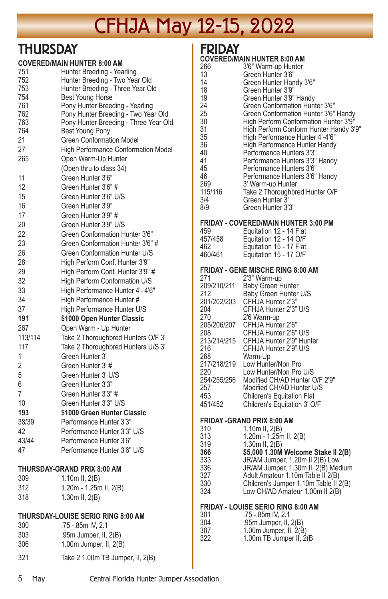## **THURSDAY**

| 751<br>752<br>753                                                                     | <b>COVERED/MAIN HUNTER 8:00 AM</b><br>Hunter Breeding - Yearling<br>Hunter Breeding - Two Year Old<br>Hunter Breeding - Three Year Old |
|---------------------------------------------------------------------------------------|----------------------------------------------------------------------------------------------------------------------------------------|
| 754                                                                                   | Best Young Horse                                                                                                                       |
| 761                                                                                   | Pony Hunter Breeding - Yearling                                                                                                        |
| 762                                                                                   | Pony Hunter Breeding - Two Year Old                                                                                                    |
| 763                                                                                   | Pony Hunter Breeding - Three Year Old                                                                                                  |
| 764                                                                                   | Best Young Pony                                                                                                                        |
| 21                                                                                    | <b>Green Conformation Model</b>                                                                                                        |
| 27                                                                                    | High Performance Conformation Model                                                                                                    |
| 265<br>11                                                                             | Open Warm-Up Hunter<br>(Open thru to class 34)<br>Green Hunter 3'6"                                                                    |
| 12                                                                                    | Green Hunter 3'6" #                                                                                                                    |
| 15                                                                                    | Green Hunter 3'6" U/S                                                                                                                  |
| 16                                                                                    | Green Hunter 3'9"                                                                                                                      |
| 17                                                                                    | Green Hunter 3'9" #                                                                                                                    |
| 20                                                                                    | Green Hunter 3'9" U/S                                                                                                                  |
| 22                                                                                    | Green Conformation Hunter 3'6"                                                                                                         |
| 23                                                                                    | Green Conformation Hunter 3'6" #                                                                                                       |
| 26                                                                                    | Green Conformation Hunter U/S                                                                                                          |
| 28                                                                                    | High Perform Conf. Hunter 3'9"                                                                                                         |
| 29                                                                                    | High Perform Conf. Hunter 3'9" #                                                                                                       |
| 32                                                                                    | High Perform Conformation U/S                                                                                                          |
| 33                                                                                    | High Performance Hunter 4'- 4'6"                                                                                                       |
| 34                                                                                    | High Performance Hunter #                                                                                                              |
| 37                                                                                    | High Performance Hunter U/S                                                                                                            |
| 191                                                                                   | \$1000 Open Hunter Classic                                                                                                             |
| 267                                                                                   | Open Warm - Up Hunter                                                                                                                  |
| 113/114                                                                               | Take 2 Thoroughbred Hunters O/F 3'                                                                                                     |
| 117                                                                                   | Take 2 Thoroughbred Hunters U/S 3'                                                                                                     |
| 1                                                                                     | Green Hunter 3'                                                                                                                        |
| $\overline{2}$                                                                        | Green Hunter 3'#                                                                                                                       |
| 5                                                                                     | Green Hunter 3' U/S                                                                                                                    |
| 6                                                                                     | Green Hunter 3'3"                                                                                                                      |
| 7                                                                                     | Green Hunter 3'3" #                                                                                                                    |
| 10                                                                                    | Green Hunter 3'3" U/S                                                                                                                  |
| 193                                                                                   | \$1000 Green Hunter Classic                                                                                                            |
| 38/39                                                                                 | Performance Hunter 3'3"                                                                                                                |
| 42                                                                                    | Performance Hunter 3'3" U/S                                                                                                            |
| 43/44                                                                                 | Performance Hunter 3'6"                                                                                                                |
| 47                                                                                    | Performance Hunter 3'6" U/S                                                                                                            |
| THURSDAY-GRAND PRIX 8:00 AM<br>309<br>1.10m II, 2(B)<br>312<br>1.20m - 1.25m II, 2(B) |                                                                                                                                        |
| 318                                                                                   | 1.30m II, 2(B)                                                                                                                         |
| 300<br>303                                                                            | THURSDAY-LOUISE SERIO RING 8:00 AM<br>.75 -.85m IV, 2.1<br>.95m Jumper, II, 2(B)                                                       |
| 306                                                                                   | 1.00m Jumper, II, 2(B)                                                                                                                 |

321 Take 2 1.00m TB Jumper, II, 2(B)

## **FDIDAY**

| I KIVAI |                                        |  |  |
|---------|----------------------------------------|--|--|
|         | <b>COVERED/MAIN HUNTER 8:00 AM</b>     |  |  |
| 266     | 3'6" Warm-up Hunter                    |  |  |
| 13      | Green Hunter 3'6"                      |  |  |
| 14      | Green Hunter Handy 3'6"                |  |  |
| 18      | Green Hunter 3'9"                      |  |  |
| 19      | Green Hunter 3'9" Handy                |  |  |
| 24      | Green Conformation Hunter 3'6"         |  |  |
| 25      | Green Conformation Hunter 3'6" Handy   |  |  |
| 30      | High Perform Conformation Hunter 3'9"  |  |  |
| 31      | High Perform Conform Hunter Handy 3'9" |  |  |
| 35      | High Performance Hunter 4'-4'6"        |  |  |
| 36      | High Performance Hunter Handy          |  |  |
| 40      | Performance Hunters 3'3"               |  |  |
| 41      | Performance Hunters 3'3" Handy         |  |  |
| 45      | Performance Hunters 3'6"               |  |  |
| 46      | Performance Hunters 3'6" Handy         |  |  |
| 269     | 3' Warm-up Hunter                      |  |  |
| 115/116 | Take 2 Thoroughbred Hunter O/F         |  |  |
| 3/4     | Green Hunter 3'                        |  |  |
| 8/9     | Green Hunter 3'3"                      |  |  |

### **FRIDAY - COVERED/MAIN HUNTER 3:00 PM**

| .       |                         |
|---------|-------------------------|
| 459     | Equitation 12 - 14 Flat |
| 457/458 | Equitation 12 - 14 O/F  |
| 462     | Equitation 15 - 17 Flat |
| 460/461 | Equitation 15 - 17 O/F  |

#### **FRIDAY - GENE MISCHE RING 8:00 AM**

|             | ויור שניש שיחור בוועשות           |
|-------------|-----------------------------------|
| 271         | 2'3" Warm-up                      |
| 209/210/211 | <b>Baby Green Hunter</b>          |
| 212         | Baby Green Hunter U/S             |
| 201/202/203 | CFHJA Hunter 2'3"                 |
| 204         | CFHJA Hunter 2'3" U/S             |
| 270         | 2'6 Warm-up                       |
| 205/206/207 | CFHJA Hunter 2'6"                 |
| 208         | CFHJA Hunter 2'6" U/S             |
| 213/214/215 | CFHJA Hunter 2'9" Hunter          |
| 216         | CFHJA Hunter 2'9" U/S             |
| 268         | Warm-Up                           |
| 217/218/219 | Low Hunter/Non Pro                |
| 220         | Low Hunter/Non Pro U/S            |
| 254/255/256 | Modified CH/AD Hunter O/F 2'9"    |
| 257         | Modified CH/AD Hunter U/S         |
| 453         | <b>Children's Equitation Flat</b> |
| 451/452     | Children's Equitation 3' O/F      |
|             |                                   |

#### **FRIDAY -GRAND PRIX 8:00 AM**

| 310<br>313 | 1.10 $m$ II, 2(B)<br>$1.20m - 1.25m$ II, $2(B)$ |
|------------|-------------------------------------------------|
| 319        | $1.30m$ II, $2(B)$                              |
| 366        | \$5,000 1.30M Welcome Stake II 2(B)             |
| 333        | JR/AM Jumper, 1.20m II 2(B) Low                 |
| 336        | JR/AM Jumper, 1.30m II, 2(B) Medium             |
| 327        | Adult Amateur 1.10m Table II 2(B)               |
| 330        | Children's Jumper 1.10m Table II 2(B)           |
| 324        | Low CH/AD Amateur 1.00m II 2(B)                 |
|            |                                                 |

### **FRIDAY - LOUISE SERIO RING 8:00 AM**

| .75 -.85m IV. 2.1          |
|----------------------------|
| .95 $m$ Jumper, II, $2(B)$ |
| 1.00m Jumper, II, 2(B)     |
| 1.00m TB Jumper II, 2(B)   |
|                            |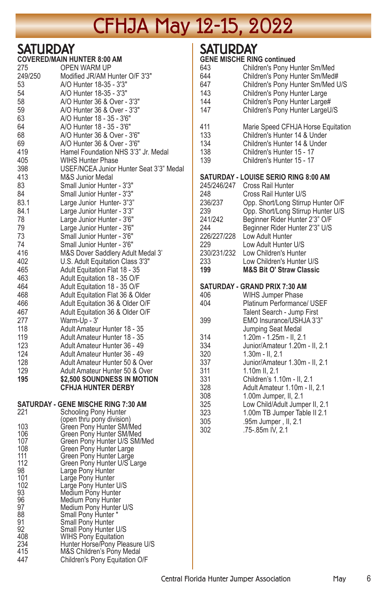# CFHJA May 12-15, 2022

## **SATHDDAY**

| - - - - - - | .<br><b>COVERED/MAIN HUNTER 8:00 AM</b>                      |
|-------------|--------------------------------------------------------------|
| 275         | <b>OPEN WARM UP</b>                                          |
| 249/250     | Modified JR/AM Hunter O/F 3'3"                               |
| 53          | A/O Hunter 18-35 - 3'3"                                      |
| 54          | A/O Hunter 18-35 - 3'3"                                      |
| 58          | A/O Hunter 36 & Over - 3'3"                                  |
| 59          | A/O Hunter 36 & Over - 3'3"                                  |
| 63          | A/O Hunter 18 - 35 - 3'6"                                    |
| 64          | A/O Hunter 18 - 35 - 3'6"                                    |
| 68          | A/O Hunter 36 & Over - 3'6"                                  |
| 69          | A/O Hunter 36 & Over - 3'6"                                  |
| 419         | Hamel Foundation NHS 3'3" Jr. Medal                          |
| 405         | <b>WIHS Hunter Phase</b>                                     |
| 398         | USEF/NCEA Junior Hunter Seat 3'3" Medal                      |
| 413         | <b>M&amp;S Junior Medal</b>                                  |
| 83          | Small Junior Hunter - 3'3"                                   |
| 84          | Small Junior Hunter - 3'3"                                   |
| 83.1        | Large Junior Hunter- 3"3"                                    |
| 84.1        | Large Junior Hunter - 3'3"                                   |
| 78          | Large Junior Hunter - 3'6"                                   |
| 79          | Large Junior Hunter - 3'6"                                   |
| 73          | Small Junior Hunter - 3'6"                                   |
| 74          | Small Junior Hunter - 3'6"                                   |
| 416         | M&S Dover Saddlery Adult Medal 3'                            |
| 402         | U.S. Adult Equitation Class 3'3"                             |
| 465         | <b>Adult Equitation Flat 18 - 35</b>                         |
| 463         | Adult Equitation 18 - 35 O/F                                 |
| 464         | Adult Equitation 18 - 35 O/F                                 |
| 468         | Adult Equitation Flat 36 & Older                             |
| 466         | Adult Equitation 36 & Older O/F                              |
| 467         | Adult Equitation 36 & Older O/F                              |
| 277         | Warm-Up - 3'                                                 |
| 118         | Adult Amateur Hunter 18 - 35                                 |
| 119<br>123  | Adult Amateur Hunter 18 - 35                                 |
| 124         | Adult Amateur Hunter 36 - 49<br>Adult Amateur Hunter 36 - 49 |
| 128         | Adult Amateur Hunter 50 & Over                               |
| 129         | Adult Amateur Hunter 50 & Over                               |
| 195         | \$2,500 SOUNDNESS IN MOTION                                  |
|             | <b>CFHJA HUNTER DERBY</b>                                    |
|             |                                                              |

### **SATURDAY - GENE MISCHE RING 7:30 AM**

| 221                                                                                | Schooling Pony Hunter                                                                                                                                                                                                                                                                                                                                                  |
|------------------------------------------------------------------------------------|------------------------------------------------------------------------------------------------------------------------------------------------------------------------------------------------------------------------------------------------------------------------------------------------------------------------------------------------------------------------|
| 103<br>106<br>107<br>108<br>111<br>112<br>98<br>101<br>102<br>93<br>96<br>97<br>88 | (open thru pony division)<br>Green Pony Hunter SM/Med<br>Green Pony Hunter SM/Med<br>Green Pony Hunter U/S SM/Med<br>Green Pony Hunter Large<br>Green Pony Hunter Large<br>Green Pony Hunter U/S Large<br>Large Pony Hunter<br>Large Pony Hunter<br>Large Pony Hunter U/S<br>Medium Pony Hunter<br>Medium Pony Hunter<br>Medium Pony Hunter U/S<br>Small Pony Hunter * |
| 91<br>92                                                                           | Small Pony Hunter<br>Small Pony Hunter U/S                                                                                                                                                                                                                                                                                                                             |
| 408<br>234<br>415                                                                  | <b>WIHS Pony Equitation</b><br>Hunter Horse/Pony Pleasure U/S<br>M&S Children's Pony Medal                                                                                                                                                                                                                                                                             |
| 447                                                                                | Children's Pony Equitation O/F                                                                                                                                                                                                                                                                                                                                         |
|                                                                                    |                                                                                                                                                                                                                                                                                                                                                                        |

## I SATURDAY

|                    | <b>GENE MISCHE RING continued</b>                                |
|--------------------|------------------------------------------------------------------|
| 643                | Children's Pony Hunter Sm/Med                                    |
| 644                | Children's Pony Hunter Sm/Med#                                   |
| 647                | Children's Pony Hunter Sm/Med U/S                                |
| 143<br>144         | Children's Pony Hunter Large                                     |
| 147                | Children's Pony Hunter Large#<br>Children's Pony Hunter LargeU/S |
|                    |                                                                  |
| 411                | Marie Speed CFHJA Horse Equitation                               |
| 133                | Children's Hunter 14 & Under                                     |
| 134                | Children's Hunter 14 & Under                                     |
| 138                | Children's Hunter 15 - 17                                        |
| 139                | Children's Hunter 15 - 17                                        |
|                    | SATURDAY - LOUISE SERIO RING 8:00 AM                             |
|                    | 245/246/247 Cross Rail Hunter                                    |
| 248                | Cross Rail Hunter U/S                                            |
| 236/237            | Opp. Short/Long Stirrup Hunter O/F                               |
| 239                | Opp. Short/Long Stirrup Hunter U/S                               |
| 241/242            | Beginner Rider Hunter 2'3" O/F                                   |
| 244                | Beginner Rider Hunter 2'3" U/S                                   |
| 226/227/228<br>229 | Low Adult Hunter<br>Low Adult Hunter U/S                         |
| 230/231/232        | Low Children's Hunter                                            |
| 233                | Low Children's Hunter U/S                                        |
| 199                | <b>M&amp;S Bit O' Straw Classic</b>                              |
|                    |                                                                  |
|                    | SATURDAY - GRAND PRIX 7:30 AM                                    |
| 406                | <b>WIHS Jumper Phase</b>                                         |
| 404                | Platinum Performance/ USEF                                       |
| 399                | Talent Search - Jump First<br>EMO Insurance/USHJA 3'3"           |
|                    | Jumping Seat Medal                                               |
| 314                | 1.20m - 1.25m - II, 2.1                                          |
| 334                | Junior/Amateur 1.20m - II, 2.1                                   |
| 320                | $1.30m - II$ , $2.1$                                             |
| 337                | Junior/Amateur 1.30m - II, 2.1                                   |
| 311                | 1.10m II. 2.1                                                    |
| 331                | Children's 1.10m - II, 2.1                                       |
| 328                | Adult Amateur 1.10m - II, 2.1                                    |
| 308<br>325         | 1.00m Jumper, II, 2.1<br>Low Child/Adult Jumper II, 2.1          |
| 323                | 1.00m TB Jumper Table II 2.1                                     |
| 305                | .95m Jumper, II, 2.1                                             |
| 302                | .75-.85m IV, 2.1                                                 |